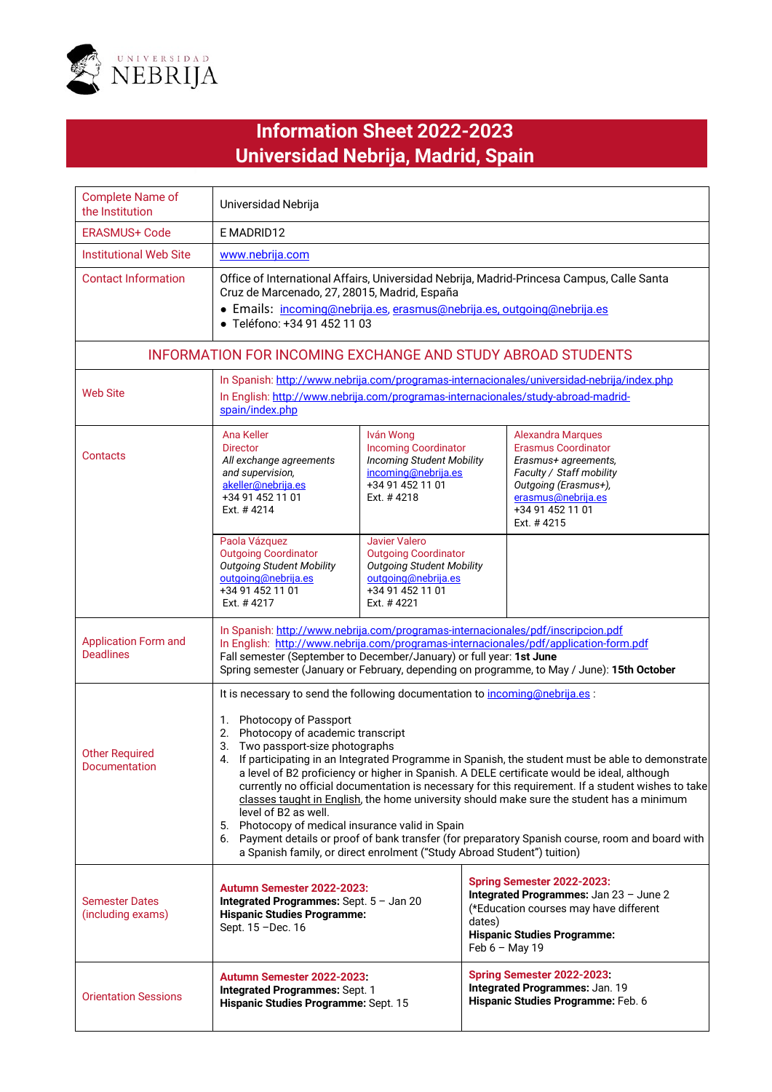

## **Titular Eduard Densidad Nebrija, Madrid, Spain Information Sheet 2022-2023**

| <b>Complete Name of</b><br>the Institution      | Universidad Nebrija                                                                                                                                                                                                                                                                                                                                                                                                                                                                                                                                                                                                                                                                                                                                                                                                                                       |                                                                                                                                           |                                                                                                                                                                                            |  |
|-------------------------------------------------|-----------------------------------------------------------------------------------------------------------------------------------------------------------------------------------------------------------------------------------------------------------------------------------------------------------------------------------------------------------------------------------------------------------------------------------------------------------------------------------------------------------------------------------------------------------------------------------------------------------------------------------------------------------------------------------------------------------------------------------------------------------------------------------------------------------------------------------------------------------|-------------------------------------------------------------------------------------------------------------------------------------------|--------------------------------------------------------------------------------------------------------------------------------------------------------------------------------------------|--|
| <b>ERASMUS+ Code</b>                            | E MADRID12                                                                                                                                                                                                                                                                                                                                                                                                                                                                                                                                                                                                                                                                                                                                                                                                                                                |                                                                                                                                           |                                                                                                                                                                                            |  |
| <b>Institutional Web Site</b>                   | www.nebrija.com                                                                                                                                                                                                                                                                                                                                                                                                                                                                                                                                                                                                                                                                                                                                                                                                                                           |                                                                                                                                           |                                                                                                                                                                                            |  |
| <b>Contact Information</b>                      | Office of International Affairs, Universidad Nebrija, Madrid-Princesa Campus, Calle Santa<br>Cruz de Marcenado, 27, 28015, Madrid, España<br>· Emails: incoming@nebrija.es, erasmus@nebrija.es, outgoing@nebrija.es<br>· Teléfono: +34 91 452 11 03                                                                                                                                                                                                                                                                                                                                                                                                                                                                                                                                                                                                       |                                                                                                                                           |                                                                                                                                                                                            |  |
|                                                 |                                                                                                                                                                                                                                                                                                                                                                                                                                                                                                                                                                                                                                                                                                                                                                                                                                                           |                                                                                                                                           | <b>INFORMATION FOR INCOMING EXCHANGE AND STUDY ABROAD STUDENTS</b>                                                                                                                         |  |
| <b>Web Site</b>                                 | In Spanish: http://www.nebrija.com/programas-internacionales/universidad-nebrija/index.php<br>In English: http://www.nebrija.com/programas-internacionales/study-abroad-madrid-<br>spain/index.php                                                                                                                                                                                                                                                                                                                                                                                                                                                                                                                                                                                                                                                        |                                                                                                                                           |                                                                                                                                                                                            |  |
| Contacts                                        | Ana Keller<br><b>Director</b><br>All exchange agreements<br>and supervision,<br>akeller@nebrija.es<br>+34 91 452 11 01<br>Ext. #4214                                                                                                                                                                                                                                                                                                                                                                                                                                                                                                                                                                                                                                                                                                                      | Iván Wong<br><b>Incoming Coordinator</b><br><b>Incoming Student Mobility</b><br>incoming@nebrija.es<br>+34 91 452 11 01<br>Ext. #4218     | <b>Alexandra Marques</b><br><b>Erasmus Coordinator</b><br>Erasmus+ agreements,<br>Faculty / Staff mobility<br>Outgoing (Erasmus+),<br>erasmus@nebrija.es<br>+34 91 452 11 01<br>Ext. #4215 |  |
|                                                 | Paola Vázquez<br><b>Outgoing Coordinator</b><br><b>Outgoing Student Mobility</b><br>outgoing@nebrija.es<br>+34 91 452 11 01<br>Ext. #4217                                                                                                                                                                                                                                                                                                                                                                                                                                                                                                                                                                                                                                                                                                                 | Javier Valero<br><b>Outgoing Coordinator</b><br><b>Outgoing Student Mobility</b><br>outgoing@nebrija.es<br>+34 91 452 11 01<br>Ext. #4221 |                                                                                                                                                                                            |  |
| <b>Application Form and</b><br><b>Deadlines</b> | In Spanish: http://www.nebrija.com/programas-internacionales/pdf/inscripcion.pdf<br>In English: http://www.nebrija.com/programas-internacionales/pdf/application-form.pdf<br>Fall semester (September to December/January) or full year: 1st June<br>Spring semester (January or February, depending on programme, to May / June): 15th October                                                                                                                                                                                                                                                                                                                                                                                                                                                                                                           |                                                                                                                                           |                                                                                                                                                                                            |  |
| <b>Other Required</b><br>Documentation          | It is necessary to send the following documentation to incoming@nebrija.es:<br>1. Photocopy of Passport<br>2. Photocopy of academic transcript<br>3. Two passport-size photographs<br>If participating in an Integrated Programme in Spanish, the student must be able to demonstrate<br>4.<br>a level of B2 proficiency or higher in Spanish. A DELE certificate would be ideal, although<br>currently no official documentation is necessary for this requirement. If a student wishes to take<br>classes taught in English, the home university should make sure the student has a minimum<br>level of B2 as well.<br>5. Photocopy of medical insurance valid in Spain<br>6. Payment details or proof of bank transfer (for preparatory Spanish course, room and board with<br>a Spanish family, or direct enrolment ("Study Abroad Student") tuition) |                                                                                                                                           |                                                                                                                                                                                            |  |
| <b>Semester Dates</b><br>(including exams)      | Autumn Semester 2022-2023:<br><b>Integrated Programmes:</b> Sept. $5 -$ Jan 20<br><b>Hispanic Studies Programme:</b><br>Sept. 15 - Dec. 16                                                                                                                                                                                                                                                                                                                                                                                                                                                                                                                                                                                                                                                                                                                |                                                                                                                                           | Spring Semester 2022-2023:<br>Integrated Programmes: Jan 23 - June 2<br>(*Education courses may have different<br>dates)<br><b>Hispanic Studies Programme:</b><br>Feb 6 - May 19           |  |
| <b>Orientation Sessions</b>                     | Autumn Semester 2022-2023:<br>Integrated Programmes: Sept. 1<br>Hispanic Studies Programme: Sept. 15                                                                                                                                                                                                                                                                                                                                                                                                                                                                                                                                                                                                                                                                                                                                                      |                                                                                                                                           | Spring Semester 2022-2023:<br>Integrated Programmes: Jan. 19<br>Hispanic Studies Programme: Feb. 6                                                                                         |  |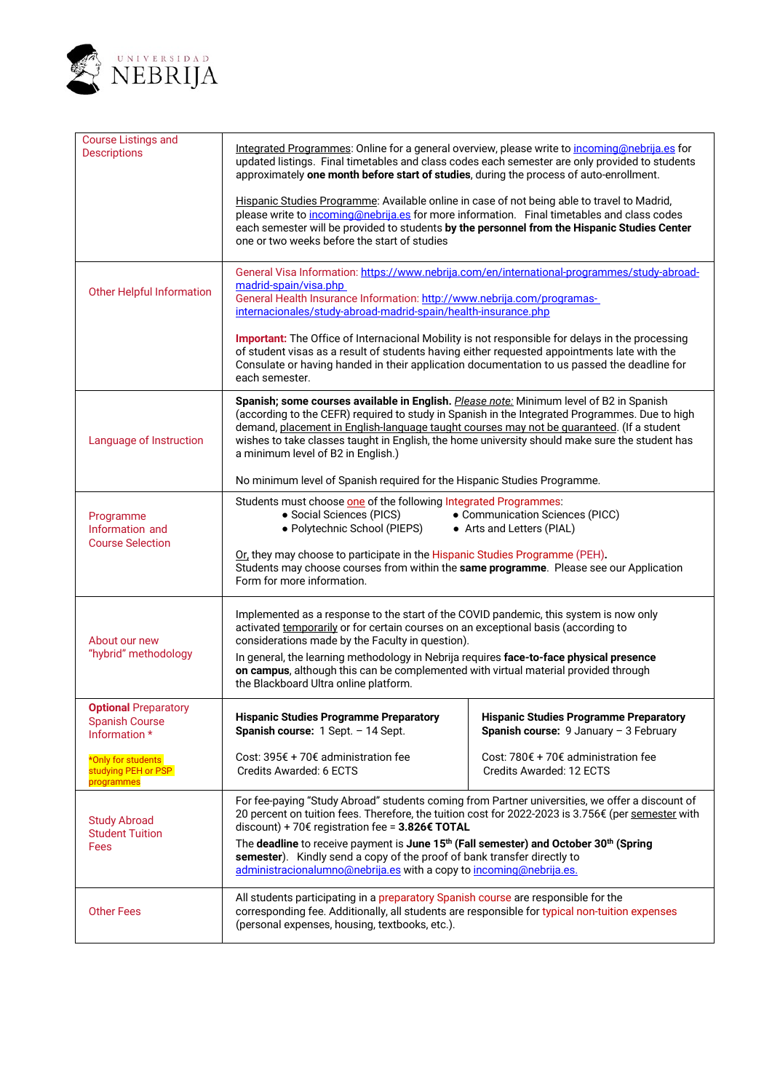

| <b>Course Listings and</b><br><b>Descriptions</b>                     | Integrated Programmes: Online for a general overview, please write to incoming@nebrija.es for<br>updated listings. Final timetables and class codes each semester are only provided to students<br>approximately one month before start of studies, during the process of auto-enrollment.                                                                                                                                     |                                                                                                    |  |
|-----------------------------------------------------------------------|--------------------------------------------------------------------------------------------------------------------------------------------------------------------------------------------------------------------------------------------------------------------------------------------------------------------------------------------------------------------------------------------------------------------------------|----------------------------------------------------------------------------------------------------|--|
|                                                                       | Hispanic Studies Programme: Available online in case of not being able to travel to Madrid,<br>please write to incoming@nebrija.es for more information. Final timetables and class codes<br>each semester will be provided to students by the personnel from the Hispanic Studies Center<br>one or two weeks before the start of studies                                                                                      |                                                                                                    |  |
| <b>Other Helpful Information</b>                                      | General Visa Information: https://www.nebrija.com/en/international-programmes/study-abroad-<br>madrid-spain/visa.php<br>General Health Insurance Information: http://www.nebrija.com/programas-<br>internacionales/study-abroad-madrid-spain/health-insurance.php                                                                                                                                                              |                                                                                                    |  |
|                                                                       | Important: The Office of Internacional Mobility is not responsible for delays in the processing<br>of student visas as a result of students having either requested appointments late with the<br>Consulate or having handed in their application documentation to us passed the deadline for<br>each semester.                                                                                                                |                                                                                                    |  |
| Language of Instruction                                               | Spanish; some courses available in English. Please note: Minimum level of B2 in Spanish<br>(according to the CEFR) required to study in Spanish in the Integrated Programmes. Due to high<br>demand, placement in English-language taught courses may not be guaranteed. (If a student<br>wishes to take classes taught in English, the home university should make sure the student has<br>a minimum level of B2 in English.) |                                                                                                    |  |
|                                                                       | No minimum level of Spanish required for the Hispanic Studies Programme.                                                                                                                                                                                                                                                                                                                                                       |                                                                                                    |  |
| Programme<br>Information and<br><b>Course Selection</b>               | Students must choose one of the following Integrated Programmes:<br>• Social Sciences (PICS)<br>• Communication Sciences (PICC)<br>· Polytechnic School (PIEPS)<br>• Arts and Letters (PIAL)                                                                                                                                                                                                                                   |                                                                                                    |  |
|                                                                       | Or, they may choose to participate in the Hispanic Studies Programme (PEH).<br>Students may choose courses from within the same programme. Please see our Application<br>Form for more information.                                                                                                                                                                                                                            |                                                                                                    |  |
| About our new<br>"hybrid" methodology                                 | Implemented as a response to the start of the COVID pandemic, this system is now only<br>activated temporarily or for certain courses on an exceptional basis (according to<br>considerations made by the Faculty in question).                                                                                                                                                                                                |                                                                                                    |  |
|                                                                       | In general, the learning methodology in Nebrija requires face-to-face physical presence<br>on campus, although this can be complemented with virtual material provided through<br>the Blackboard Ultra online platform.                                                                                                                                                                                                        |                                                                                                    |  |
| <b>Optional Preparatory</b><br><b>Spanish Course</b><br>Information * | <b>Hispanic Studies Programme Preparatory</b><br>Spanish course: 1 Sept. - 14 Sept.                                                                                                                                                                                                                                                                                                                                            | <b>Hispanic Studies Programme Preparatory</b><br><b>Spanish course:</b> $9$ January - $3$ February |  |
| *Only for students<br>studying PEH or PSP<br>programmes               | Cost: 395€ + 70€ administration fee<br>Credits Awarded: 6 ECTS                                                                                                                                                                                                                                                                                                                                                                 | Cost: 780€ + 70€ administration fee<br>Credits Awarded: 12 ECTS                                    |  |
| <b>Study Abroad</b><br><b>Student Tuition</b><br>Fees                 | For fee-paying "Study Abroad" students coming from Partner universities, we offer a discount of<br>20 percent on tuition fees. Therefore, the tuition cost for 2022-2023 is 3.756€ (per semester with<br>discount) + 70€ registration fee = 3.826€ TOTAL                                                                                                                                                                       |                                                                                                    |  |
|                                                                       | The deadline to receive payment is June 15 <sup>th</sup> (Fall semester) and October 30 <sup>th</sup> (Spring<br>semester). Kindly send a copy of the proof of bank transfer directly to<br>administracionalumno@nebrija.es with a copy to incoming@nebrija.es.                                                                                                                                                                |                                                                                                    |  |
| <b>Other Fees</b>                                                     | All students participating in a preparatory Spanish course are responsible for the<br>corresponding fee. Additionally, all students are responsible for typical non-tuition expenses<br>(personal expenses, housing, textbooks, etc.).                                                                                                                                                                                         |                                                                                                    |  |
|                                                                       |                                                                                                                                                                                                                                                                                                                                                                                                                                |                                                                                                    |  |